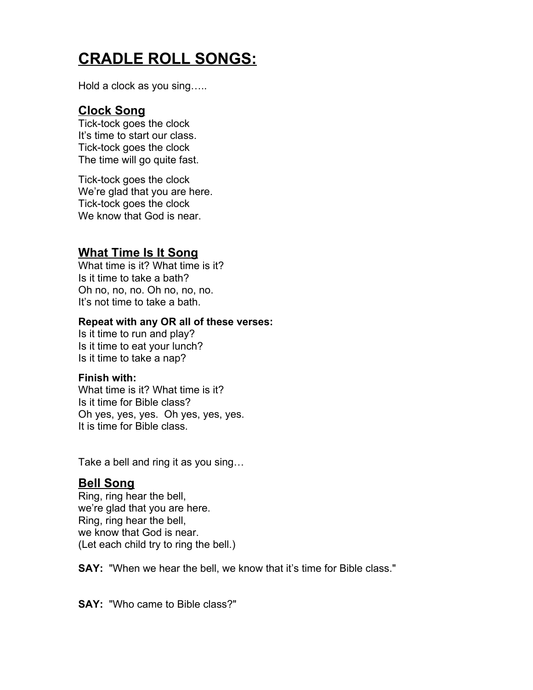# **CRADLE ROLL SONGS:**

Hold a clock as you sing…..

# **Clock Song**

Tick-tock goes the clock It's time to start our class. Tick-tock goes the clock The time will go quite fast.

Tick-tock goes the clock We're glad that you are here. Tick-tock goes the clock We know that God is near.

# **What Time Is It Song**

What time is it? What time is it? Is it time to take a bath? Oh no, no, no. Oh no, no, no. It's not time to take a bath.

#### **Repeat with any OR all of these verses:**

Is it time to run and play? Is it time to eat your lunch? Is it time to take a nap?

#### **Finish with:**

What time is it? What time is it? Is it time for Bible class? Oh yes, yes, yes. Oh yes, yes, yes. It is time for Bible class.

Take a bell and ring it as you sing…

#### **Bell Song**

Ring, ring hear the bell, we're glad that you are here. Ring, ring hear the bell, we know that God is near. (Let each child try to ring the bell.)

**SAY:** "When we hear the bell, we know that it's time for Bible class."

**SAY:** "Who came to Bible class?"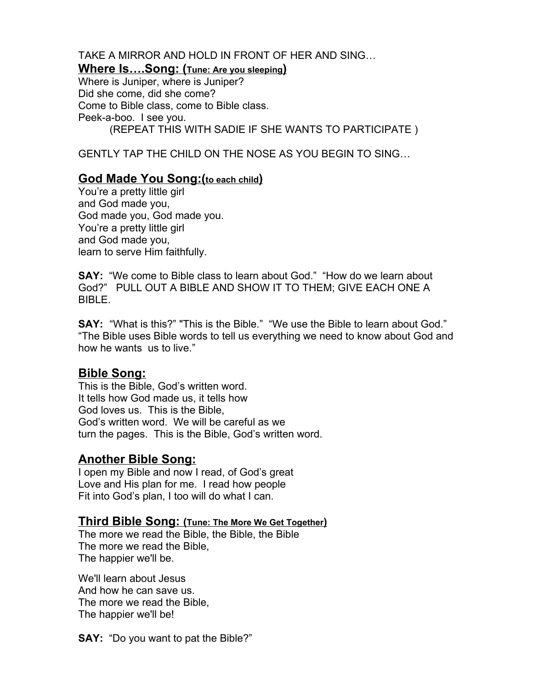TAKE A MIRROR AND HOLD IN FRONT OF HER AND SING… **Where Is….Song: (Tune: Are you sleeping)** Where is Juniper, where is Juniper? Did she come, did she come? Come to Bible class, come to Bible class. Peek-a-boo. I see you.

(REPEAT THIS WITH SADIE IF SHE WANTS TO PARTICIPATE )

GENTLY TAP THE CHILD ON THE NOSE AS YOU BEGIN TO SING…

#### **God Made You Song:(to each child)**

You're a pretty little girl and God made you, God made you, God made you. You're a pretty little girl and God made you, learn to serve Him faithfully.

**SAY:** "We come to Bible class to learn about God." "How do we learn about God?" PULL OUT A BIBLE AND SHOW IT TO THEM; GIVE EACH ONE A BIBLE.

**SAY:** "What is this?" "This is the Bible." "We use the Bible to learn about God." "The Bible uses Bible words to tell us everything we need to know about God and how he wants us to live."

#### **Bible Song:**

This is the Bible, God's written word. It tells how God made us, it tells how God loves us. This is the Bible, God's written word. We will be careful as we turn the pages. This is the Bible, God's written word.

### **Another Bible Song:**

I open my Bible and now I read, of God's great Love and His plan for me. I read how people Fit into God's plan, I too will do what I can.

#### **Third Bible Song: (Tune: The More We Get Together)**

The more we read the Bible, the Bible, the Bible The more we read the Bible, The happier we'll be.

We'll learn about Jesus And how he can save us. The more we read the Bible, The happier we'll be!

**SAY:** "Do you want to pat the Bible?"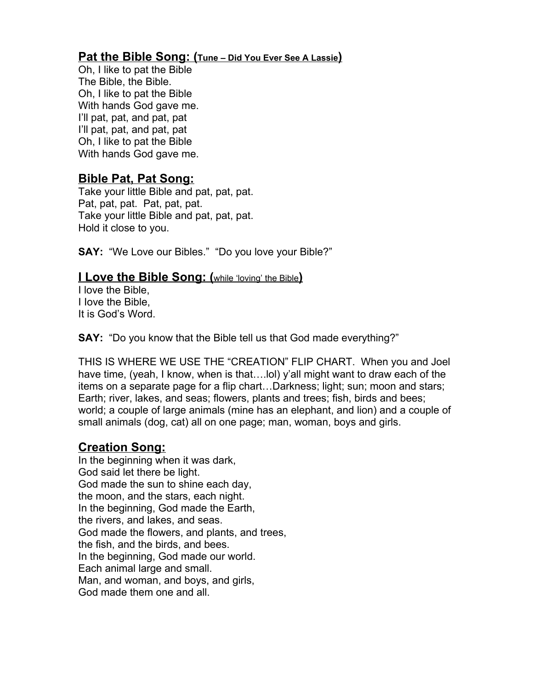# **Pat the Bible Song: (Tune – Did You Ever See A Lassie)**

Oh, I like to pat the Bible The Bible, the Bible. Oh, I like to pat the Bible With hands God gave me. I'll pat, pat, and pat, pat I'll pat, pat, and pat, pat Oh, I like to pat the Bible With hands God gave me.

# **Bible Pat, Pat Song:**

Take your little Bible and pat, pat, pat. Pat, pat, pat. Pat, pat, pat. Take your little Bible and pat, pat, pat. Hold it close to you.

**SAY:** "We Love our Bibles." "Do you love your Bible?"

#### **I Love the Bible Song: (**while 'loving' the Bible**)**

I love the Bible, I Iove the Bible, It is God's Word.

**SAY:** "Do you know that the Bible tell us that God made everything?"

THIS IS WHERE WE USE THE "CREATION" FLIP CHART. When you and Joel have time, (yeah, I know, when is that….lol) y'all might want to draw each of the items on a separate page for a flip chart…Darkness; light; sun; moon and stars; Earth; river, lakes, and seas; flowers, plants and trees; fish, birds and bees; world; a couple of large animals (mine has an elephant, and lion) and a couple of small animals (dog, cat) all on one page; man, woman, boys and girls.

### **Creation Song:**

In the beginning when it was dark, God said let there be light. God made the sun to shine each day, the moon, and the stars, each night. In the beginning, God made the Earth, the rivers, and lakes, and seas. God made the flowers, and plants, and trees, the fish, and the birds, and bees. In the beginning, God made our world. Each animal large and small. Man, and woman, and boys, and girls, God made them one and all.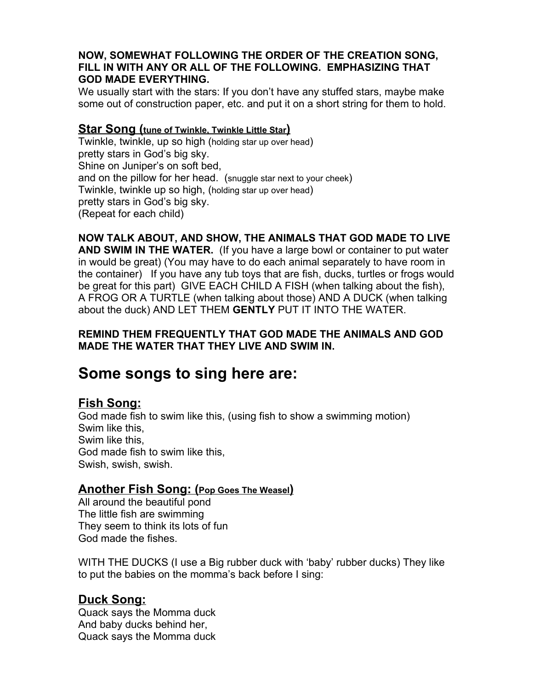#### **NOW, SOMEWHAT FOLLOWING THE ORDER OF THE CREATION SONG, FILL IN WITH ANY OR ALL OF THE FOLLOWING. EMPHASIZING THAT GOD MADE EVERYTHING.**

We usually start with the stars: If you don't have any stuffed stars, maybe make some out of construction paper, etc. and put it on a short string for them to hold.

#### **Star Song (tune of Twinkle, Twinkle Little Star)**

Twinkle, twinkle, up so high (holding star up over head) pretty stars in God's big sky. Shine on Juniper's on soft bed, and on the pillow for her head. (snuggle star next to your cheek) Twinkle, twinkle up so high, (holding star up over head) pretty stars in God's big sky. (Repeat for each child)

**NOW TALK ABOUT, AND SHOW, THE ANIMALS THAT GOD MADE TO LIVE AND SWIM IN THE WATER.** (If you have a large bowl or container to put water in would be great) (You may have to do each animal separately to have room in the container) If you have any tub toys that are fish, ducks, turtles or frogs would be great for this part) GIVE EACH CHILD A FISH (when talking about the fish), A FROG OR A TURTLE (when talking about those) AND A DUCK (when talking about the duck) AND LET THEM **GENTLY** PUT IT INTO THE WATER.

#### **REMIND THEM FREQUENTLY THAT GOD MADE THE ANIMALS AND GOD MADE THE WATER THAT THEY LIVE AND SWIM IN.**

# **Some songs to sing here are:**

# **Fish Song:**

God made fish to swim like this, (using fish to show a swimming motion) Swim like this, Swim like this, God made fish to swim like this, Swish, swish, swish.

### **Another Fish Song: (Pop Goes The Weasel)**

All around the beautiful pond The little fish are swimming They seem to think its lots of fun God made the fishes.

WITH THE DUCKS (I use a Big rubber duck with 'baby' rubber ducks) They like to put the babies on the momma's back before I sing:

# **Duck Song:**

Quack says the Momma duck And baby ducks behind her, Quack says the Momma duck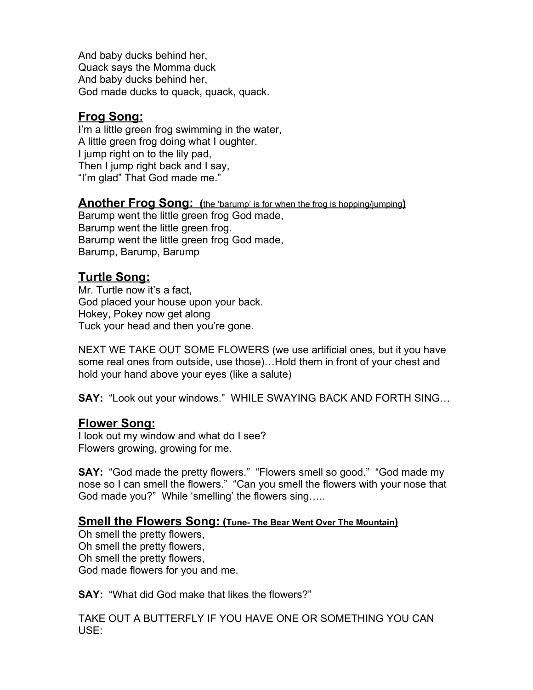And baby ducks behind her, Quack says the Momma duck And baby ducks behind her, God made ducks to quack, quack, quack.

# **Frog Song:**

I'm a little green frog swimming in the water, A little green frog doing what I oughter. I jump right on to the lily pad, Then I jump right back and I say, "I'm glad" That God made me."

**Another Frog Song: (**the 'barump' is for when the frog is hopping/jumping**)** Barump went the little green frog God made, Barump went the little green frog. Barump went the little green frog God made, Barump, Barump, Barump

# **Turtle Song:**

Mr. Turtle now it's a fact, God placed your house upon your back. Hokey, Pokey now get along Tuck your head and then you're gone.

NEXT WE TAKE OUT SOME FLOWERS (we use artificial ones, but it you have some real ones from outside, use those)…Hold them in front of your chest and hold your hand above your eyes (like a salute)

**SAY:** "Look out your windows." WHILE SWAYING BACK AND FORTH SING…

### **Flower Song:**

I look out my window and what do I see? Flowers growing, growing for me.

**SAY:** "God made the pretty flowers." "Flowers smell so good." "God made my nose so I can smell the flowers." "Can you smell the flowers with your nose that God made you?" While 'smelling' the flowers sing…..

#### **Smell the Flowers Song: (Tune- The Bear Went Over The Mountain)**

Oh smell the pretty flowers, Oh smell the pretty flowers, Oh smell the pretty flowers, God made flowers for you and me.

**SAY:** "What did God make that likes the flowers?"

TAKE OUT A BUTTERFLY IF YOU HAVE ONE OR SOMETHING YOU CAN USE: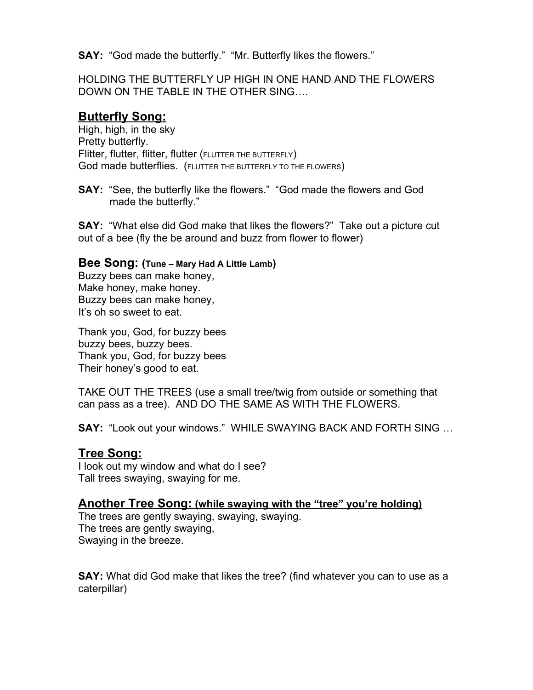**SAY:** "God made the butterfly." "Mr. Butterfly likes the flowers."

HOLDING THE BUTTERFLY UP HIGH IN ONE HAND AND THE FLOWERS DOWN ON THE TABLE IN THE OTHER SING….

#### **Butterfly Song:**

High, high, in the sky Pretty butterfly. Flitter, flutter, flitter, flutter (FLUTTER THE BUTTERFLY) God made butterflies. (FLUTTER THE BUTTERFLY TO THE FLOWERS)

**SAY:** "See, the butterfly like the flowers." "God made the flowers and God made the butterfly."

**SAY:** "What else did God make that likes the flowers?" Take out a picture cut out of a bee (fly the be around and buzz from flower to flower)

#### **Bee Song: (Tune – Mary Had A Little Lamb)**

Buzzy bees can make honey, Make honey, make honey. Buzzy bees can make honey, It's oh so sweet to eat.

Thank you, God, for buzzy bees buzzy bees, buzzy bees. Thank you, God, for buzzy bees Their honey's good to eat.

TAKE OUT THE TREES (use a small tree/twig from outside or something that can pass as a tree). AND DO THE SAME AS WITH THE FLOWERS.

**SAY:** "Look out your windows." WHILE SWAYING BACK AND FORTH SING …

#### **Tree Song:**

I look out my window and what do I see? Tall trees swaying, swaying for me.

#### **Another Tree Song: (while swaying with the "tree" you're holding)**

The trees are gently swaying, swaying, swaying. The trees are gently swaying, Swaying in the breeze.

**SAY:** What did God make that likes the tree? (find whatever you can to use as a caterpillar)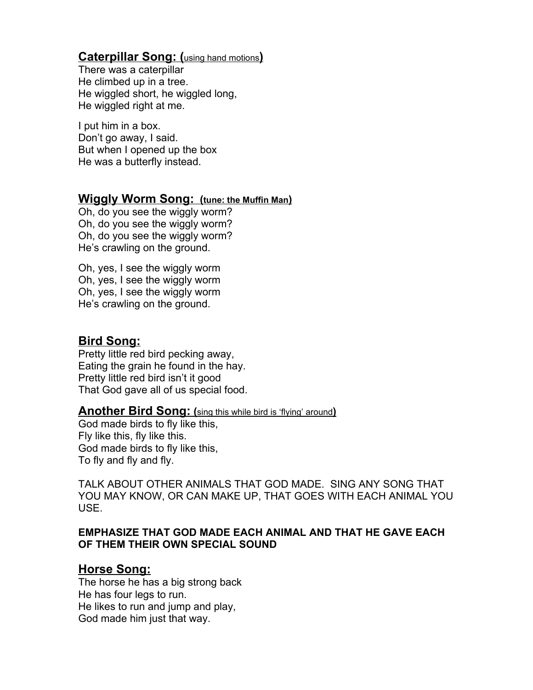## **Caterpillar Song: (**using hand motions**)**

There was a caterpillar He climbed up in a tree. He wiggled short, he wiggled long, He wiggled right at me.

I put him in a box. Don't go away, I said. But when I opened up the box He was a butterfly instead.

#### **Wiggly Worm Song: (tune: the Muffin Man)**

Oh, do you see the wiggly worm? Oh, do you see the wiggly worm? Oh, do you see the wiggly worm? He's crawling on the ground.

Oh, yes, I see the wiggly worm Oh, yes, I see the wiggly worm Oh, yes, I see the wiggly worm He's crawling on the ground.

### **Bird Song:**

Pretty little red bird pecking away, Eating the grain he found in the hay. Pretty little red bird isn't it good That God gave all of us special food.

#### **Another Bird Song: (**sing this while bird is 'flying' around**)**

God made birds to fly like this, Fly like this, fly like this. God made birds to fly like this, To fly and fly and fly.

TALK ABOUT OTHER ANIMALS THAT GOD MADE. SING ANY SONG THAT YOU MAY KNOW, OR CAN MAKE UP, THAT GOES WITH EACH ANIMAL YOU USE.

#### **EMPHASIZE THAT GOD MADE EACH ANIMAL AND THAT HE GAVE EACH OF THEM THEIR OWN SPECIAL SOUND**

#### **Horse Song:**

The horse he has a big strong back He has four legs to run. He likes to run and jump and play, God made him just that way.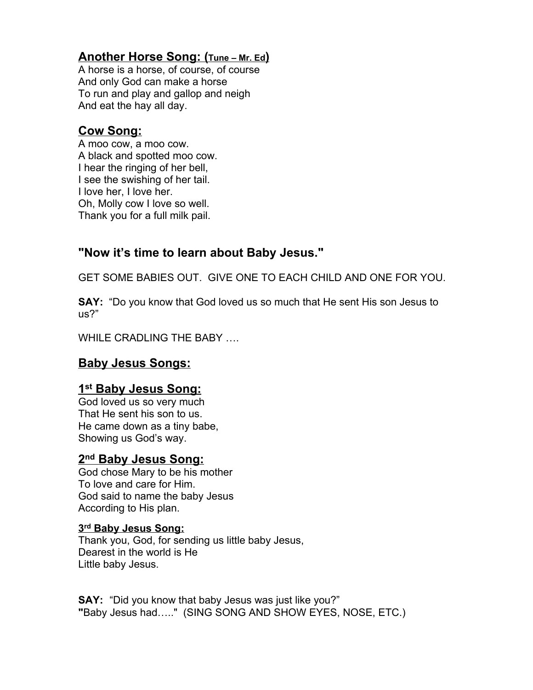# **Another Horse Song: (Tune – Mr. Ed)**

A horse is a horse, of course, of course And only God can make a horse To run and play and gallop and neigh And eat the hay all day.

# **Cow Song:**

A moo cow, a moo cow. A black and spotted moo cow. I hear the ringing of her bell, I see the swishing of her tail. I love her, I love her. Oh, Molly cow I love so well. Thank you for a full milk pail.

# **"Now it's time to learn about Baby Jesus."**

GET SOME BABIES OUT. GIVE ONE TO EACH CHILD AND ONE FOR YOU.

**SAY:** "Do you know that God loved us so much that He sent His son Jesus to us?"

WHILE CRADLING THE BABY ….

# **Baby Jesus Songs:**

# **1 st Baby Jesus Song:**

God loved us so very much That He sent his son to us. He came down as a tiny babe, Showing us God's way.

# **2 nd Baby Jesus Song:**

God chose Mary to be his mother To love and care for Him. God said to name the baby Jesus According to His plan.

#### **3 rd Baby Jesus Song:**

Thank you, God, for sending us little baby Jesus, Dearest in the world is He Little baby Jesus.

**SAY:** "Did you know that baby Jesus was just like you?" **"**Baby Jesus had….." (SING SONG AND SHOW EYES, NOSE, ETC.)